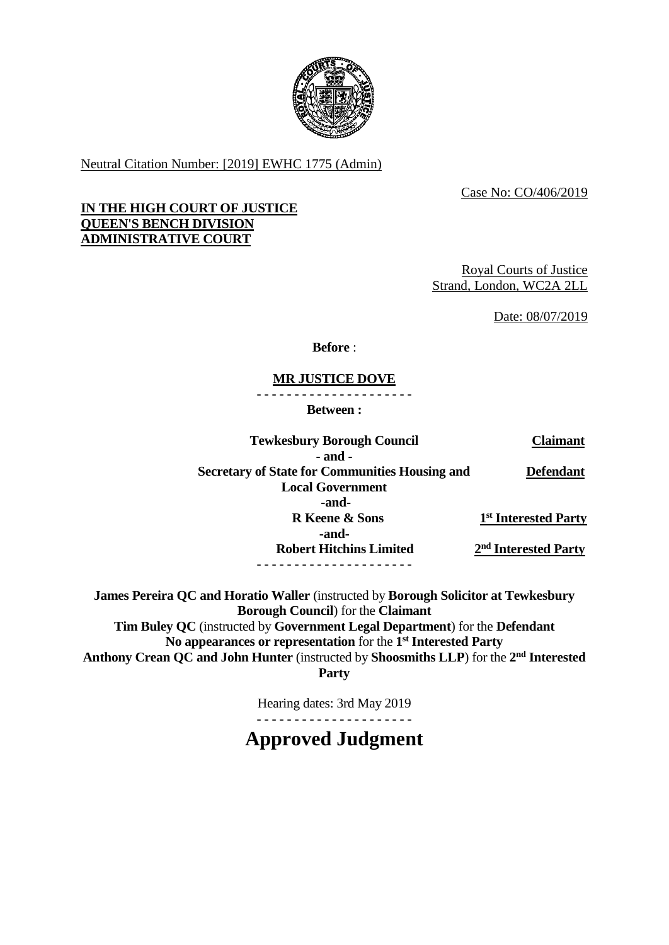

Neutral Citation Number: [2019] EWHC 1775 (Admin)

Case No: CO/406/2019

# **IN THE HIGH COURT OF JUSTICE QUEEN'S BENCH DIVISION ADMINISTRATIVE COURT**

Royal Courts of Justice Strand, London, WC2A 2LL

Date: 08/07/2019

**Before** :

# **MR JUSTICE DOVE**

- - - - - - - - - - - - - - - - - - - - -

**Between :**

| <b>Tewkesbury Borough Council</b>                     | <b>Claimant</b>                  |
|-------------------------------------------------------|----------------------------------|
| $-$ and $-$                                           |                                  |
| <b>Secretary of State for Communities Housing and</b> | <b>Defendant</b>                 |
| <b>Local Government</b>                               |                                  |
| -and-                                                 |                                  |
| <b>R</b> Keene & Sons                                 | 1 <sup>st</sup> Interested Party |
| -and-                                                 |                                  |
| <b>Robert Hitchins Limited</b>                        | 2 <sup>nd</sup> Interested Party |
|                                                       |                                  |

**James Pereira QC and Horatio Waller** (instructed by **Borough Solicitor at Tewkesbury Borough Council**) for the **Claimant Tim Buley QC** (instructed by **Government Legal Department**) for the **Defendant No appearances or representation** for the **1 st Interested Party** Anthony Crean QC and John Hunter (instructed by Shoosmiths LLP) for the 2<sup>nd</sup> Interested

**Party**

Hearing dates: 3rd May 2019

- - - - - - - - - - - - - - - - - - - - -

**Approved Judgment**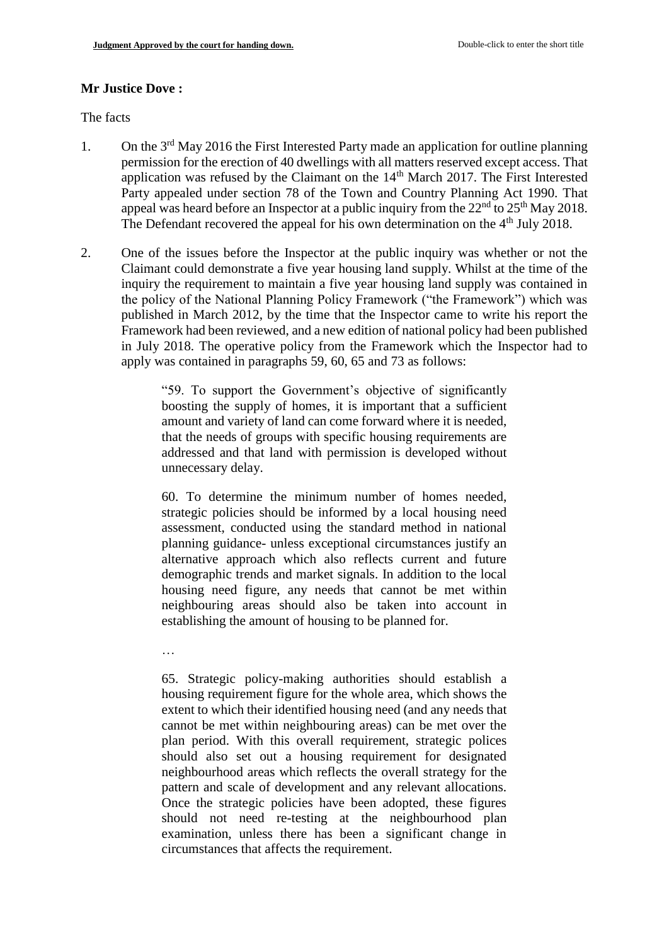## **Mr Justice Dove :**

The facts

- 1. On the  $3<sup>rd</sup>$  May 2016 the First Interested Party made an application for outline planning permission for the erection of 40 dwellings with all matters reserved except access. That application was refused by the Claimant on the  $14<sup>th</sup>$  March 2017. The First Interested Party appealed under section 78 of the Town and Country Planning Act 1990. That appeal was heard before an Inspector at a public inquiry from the  $22<sup>nd</sup>$  to  $25<sup>th</sup>$  May 2018. The Defendant recovered the appeal for his own determination on the 4<sup>th</sup> July 2018.
- 2. One of the issues before the Inspector at the public inquiry was whether or not the Claimant could demonstrate a five year housing land supply. Whilst at the time of the inquiry the requirement to maintain a five year housing land supply was contained in the policy of the National Planning Policy Framework ("the Framework") which was published in March 2012, by the time that the Inspector came to write his report the Framework had been reviewed, and a new edition of national policy had been published in July 2018. The operative policy from the Framework which the Inspector had to apply was contained in paragraphs 59, 60, 65 and 73 as follows:

"59. To support the Government's objective of significantly boosting the supply of homes, it is important that a sufficient amount and variety of land can come forward where it is needed, that the needs of groups with specific housing requirements are addressed and that land with permission is developed without unnecessary delay.

60. To determine the minimum number of homes needed, strategic policies should be informed by a local housing need assessment, conducted using the standard method in national planning guidance- unless exceptional circumstances justify an alternative approach which also reflects current and future demographic trends and market signals. In addition to the local housing need figure, any needs that cannot be met within neighbouring areas should also be taken into account in establishing the amount of housing to be planned for.

…

65. Strategic policy-making authorities should establish a housing requirement figure for the whole area, which shows the extent to which their identified housing need (and any needs that cannot be met within neighbouring areas) can be met over the plan period. With this overall requirement, strategic polices should also set out a housing requirement for designated neighbourhood areas which reflects the overall strategy for the pattern and scale of development and any relevant allocations. Once the strategic policies have been adopted, these figures should not need re-testing at the neighbourhood plan examination, unless there has been a significant change in circumstances that affects the requirement.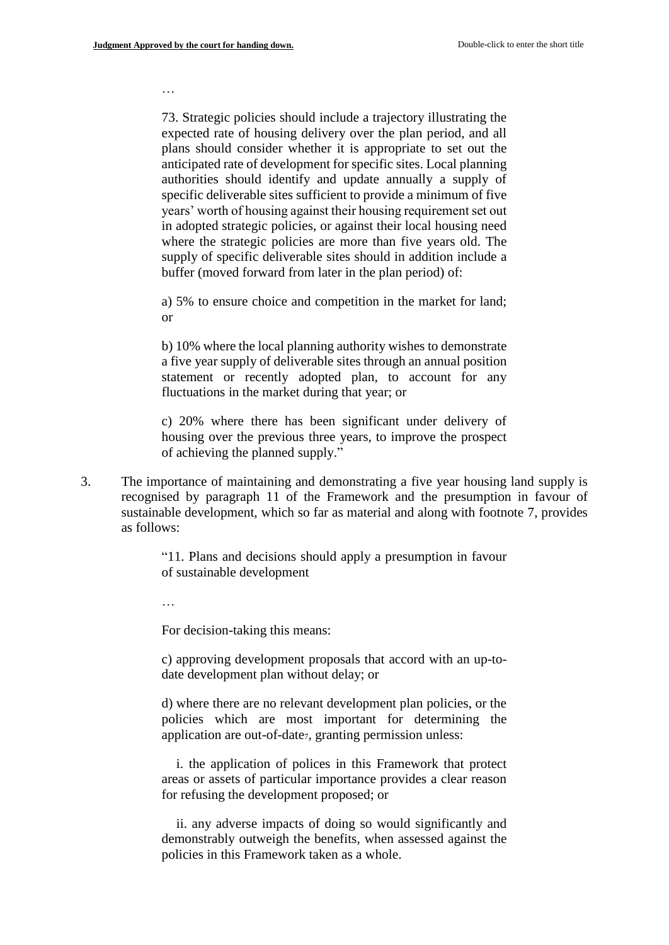…

73. Strategic policies should include a trajectory illustrating the expected rate of housing delivery over the plan period, and all plans should consider whether it is appropriate to set out the anticipated rate of development for specific sites. Local planning authorities should identify and update annually a supply of specific deliverable sites sufficient to provide a minimum of five years' worth of housing against their housing requirement set out in adopted strategic policies, or against their local housing need where the strategic policies are more than five years old. The supply of specific deliverable sites should in addition include a buffer (moved forward from later in the plan period) of:

a) 5% to ensure choice and competition in the market for land; or

b) 10% where the local planning authority wishes to demonstrate a five year supply of deliverable sites through an annual position statement or recently adopted plan, to account for any fluctuations in the market during that year; or

c) 20% where there has been significant under delivery of housing over the previous three years, to improve the prospect of achieving the planned supply."

3. The importance of maintaining and demonstrating a five year housing land supply is recognised by paragraph 11 of the Framework and the presumption in favour of sustainable development, which so far as material and along with footnote 7, provides as follows:

> "11. Plans and decisions should apply a presumption in favour of sustainable development

For decision-taking this means:

c) approving development proposals that accord with an up-todate development plan without delay; or

d) where there are no relevant development plan policies, or the policies which are most important for determining the application are out-of-date<sub>7</sub>, granting permission unless:

i. the application of polices in this Framework that protect areas or assets of particular importance provides a clear reason for refusing the development proposed; or

ii. any adverse impacts of doing so would significantly and demonstrably outweigh the benefits, when assessed against the policies in this Framework taken as a whole.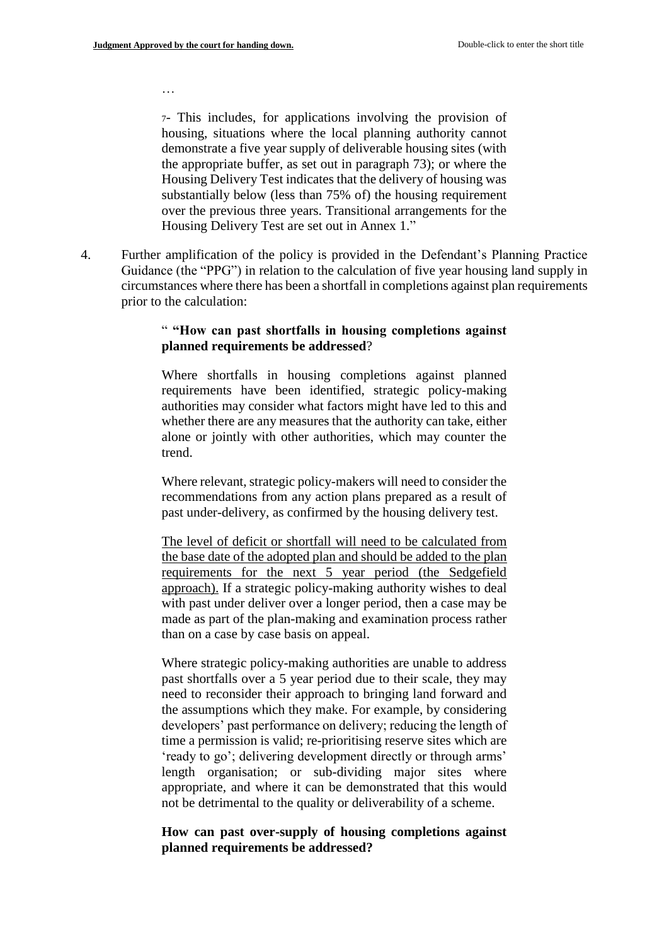…

<sup>7</sup>- This includes, for applications involving the provision of housing, situations where the local planning authority cannot demonstrate a five year supply of deliverable housing sites (with the appropriate buffer, as set out in paragraph 73); or where the Housing Delivery Test indicates that the delivery of housing was substantially below (less than 75% of) the housing requirement over the previous three years. Transitional arrangements for the Housing Delivery Test are set out in Annex 1."

4. Further amplification of the policy is provided in the Defendant's Planning Practice Guidance (the "PPG") in relation to the calculation of five year housing land supply in circumstances where there has been a shortfall in completions against plan requirements prior to the calculation:

## " **"How can past shortfalls in housing completions against planned requirements be addressed**?

Where shortfalls in housing completions against planned requirements have been identified, strategic policy-making authorities may consider what factors might have led to this and whether there are any measures that the authority can take, either alone or jointly with other authorities, which may counter the trend.

Where relevant, strategic policy-makers will need to consider the recommendations from any action plans prepared as a result of past under-delivery, as confirmed by the housing delivery test.

The level of deficit or shortfall will need to be calculated from the base date of the adopted plan and should be added to the plan requirements for the next 5 year period (the Sedgefield approach). If a strategic policy-making authority wishes to deal with past under deliver over a longer period, then a case may be made as part of the plan-making and examination process rather than on a case by case basis on appeal.

Where strategic policy-making authorities are unable to address past shortfalls over a 5 year period due to their scale, they may need to reconsider their approach to bringing land forward and the assumptions which they make. For example, by considering developers' past performance on delivery; reducing the length of time a permission is valid; re-prioritising reserve sites which are 'ready to go'; delivering development directly or through arms' length organisation; or sub-dividing major sites where appropriate, and where it can be demonstrated that this would not be detrimental to the quality or deliverability of a scheme.

### **How can past over-supply of housing completions against planned requirements be addressed?**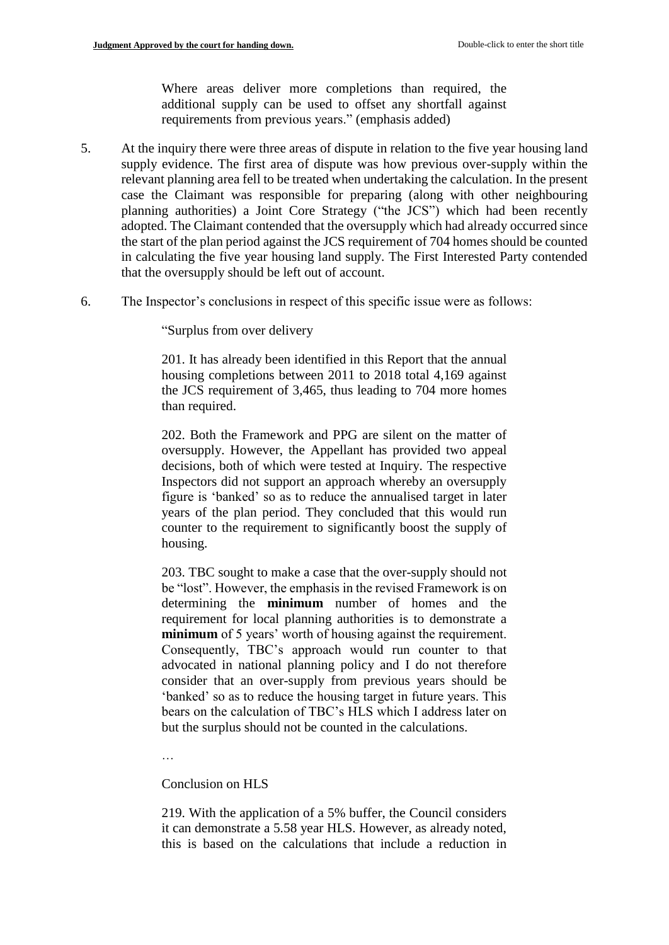Where areas deliver more completions than required, the additional supply can be used to offset any shortfall against requirements from previous years." (emphasis added)

- 5. At the inquiry there were three areas of dispute in relation to the five year housing land supply evidence. The first area of dispute was how previous over-supply within the relevant planning area fell to be treated when undertaking the calculation. In the present case the Claimant was responsible for preparing (along with other neighbouring planning authorities) a Joint Core Strategy ("the JCS") which had been recently adopted. The Claimant contended that the oversupply which had already occurred since the start of the plan period against the JCS requirement of 704 homes should be counted in calculating the five year housing land supply. The First Interested Party contended that the oversupply should be left out of account.
- 6. The Inspector's conclusions in respect of this specific issue were as follows:

"Surplus from over delivery

201. It has already been identified in this Report that the annual housing completions between 2011 to 2018 total 4,169 against the JCS requirement of 3,465, thus leading to 704 more homes than required.

202. Both the Framework and PPG are silent on the matter of oversupply. However, the Appellant has provided two appeal decisions, both of which were tested at Inquiry. The respective Inspectors did not support an approach whereby an oversupply figure is 'banked' so as to reduce the annualised target in later years of the plan period. They concluded that this would run counter to the requirement to significantly boost the supply of housing.

203. TBC sought to make a case that the over-supply should not be "lost". However, the emphasis in the revised Framework is on determining the **minimum** number of homes and the requirement for local planning authorities is to demonstrate a **minimum** of 5 years' worth of housing against the requirement. Consequently, TBC's approach would run counter to that advocated in national planning policy and I do not therefore consider that an over-supply from previous years should be 'banked' so as to reduce the housing target in future years. This bears on the calculation of TBC's HLS which I address later on but the surplus should not be counted in the calculations.

…

#### Conclusion on HLS

219. With the application of a 5% buffer, the Council considers it can demonstrate a 5.58 year HLS. However, as already noted, this is based on the calculations that include a reduction in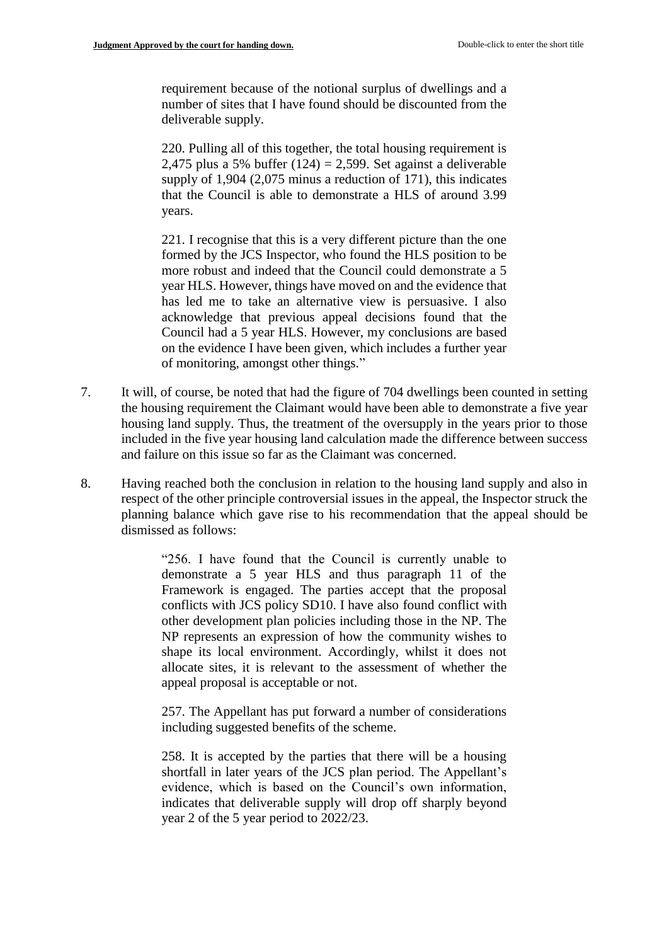requirement because of the notional surplus of dwellings and a number of sites that I have found should be discounted from the deliverable supply.

220. Pulling all of this together, the total housing requirement is 2,475 plus a 5% buffer  $(124) = 2,599$ . Set against a deliverable supply of 1,904 (2,075 minus a reduction of 171), this indicates that the Council is able to demonstrate a HLS of around 3.99 years.

221. I recognise that this is a very different picture than the one formed by the JCS Inspector, who found the HLS position to be more robust and indeed that the Council could demonstrate a 5 year HLS. However, things have moved on and the evidence that has led me to take an alternative view is persuasive. I also acknowledge that previous appeal decisions found that the Council had a 5 year HLS. However, my conclusions are based on the evidence I have been given, which includes a further year of monitoring, amongst other things."

- 7. It will, of course, be noted that had the figure of 704 dwellings been counted in setting the housing requirement the Claimant would have been able to demonstrate a five year housing land supply. Thus, the treatment of the oversupply in the years prior to those included in the five year housing land calculation made the difference between success and failure on this issue so far as the Claimant was concerned.
- 8. Having reached both the conclusion in relation to the housing land supply and also in respect of the other principle controversial issues in the appeal, the Inspector struck the planning balance which gave rise to his recommendation that the appeal should be dismissed as follows:

"256. I have found that the Council is currently unable to demonstrate a 5 year HLS and thus paragraph 11 of the Framework is engaged. The parties accept that the proposal conflicts with JCS policy SD10. I have also found conflict with other development plan policies including those in the NP. The NP represents an expression of how the community wishes to shape its local environment. Accordingly, whilst it does not allocate sites, it is relevant to the assessment of whether the appeal proposal is acceptable or not.

257. The Appellant has put forward a number of considerations including suggested benefits of the scheme.

258. It is accepted by the parties that there will be a housing shortfall in later years of the JCS plan period. The Appellant's evidence, which is based on the Council's own information, indicates that deliverable supply will drop off sharply beyond year 2 of the 5 year period to 2022/23.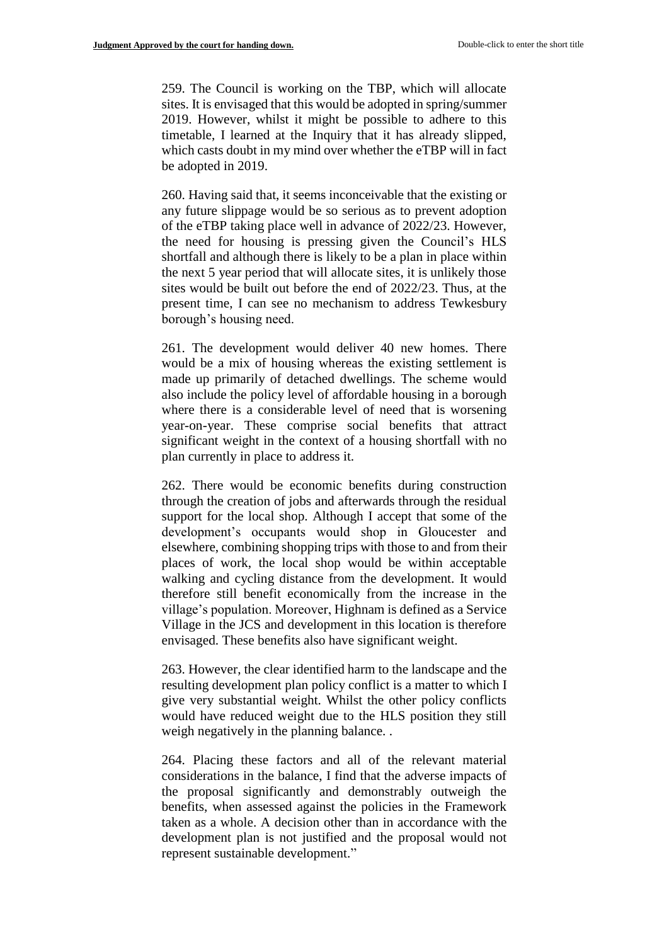259. The Council is working on the TBP, which will allocate sites. It is envisaged that this would be adopted in spring/summer 2019. However, whilst it might be possible to adhere to this timetable, I learned at the Inquiry that it has already slipped, which casts doubt in my mind over whether the eTBP will in fact be adopted in 2019.

260. Having said that, it seems inconceivable that the existing or any future slippage would be so serious as to prevent adoption of the eTBP taking place well in advance of 2022/23. However, the need for housing is pressing given the Council's HLS shortfall and although there is likely to be a plan in place within the next 5 year period that will allocate sites, it is unlikely those sites would be built out before the end of 2022/23. Thus, at the present time, I can see no mechanism to address Tewkesbury borough's housing need.

261. The development would deliver 40 new homes. There would be a mix of housing whereas the existing settlement is made up primarily of detached dwellings. The scheme would also include the policy level of affordable housing in a borough where there is a considerable level of need that is worsening year-on-year. These comprise social benefits that attract significant weight in the context of a housing shortfall with no plan currently in place to address it.

262. There would be economic benefits during construction through the creation of jobs and afterwards through the residual support for the local shop. Although I accept that some of the development's occupants would shop in Gloucester and elsewhere, combining shopping trips with those to and from their places of work, the local shop would be within acceptable walking and cycling distance from the development. It would therefore still benefit economically from the increase in the village's population. Moreover, Highnam is defined as a Service Village in the JCS and development in this location is therefore envisaged. These benefits also have significant weight.

263. However, the clear identified harm to the landscape and the resulting development plan policy conflict is a matter to which I give very substantial weight. Whilst the other policy conflicts would have reduced weight due to the HLS position they still weigh negatively in the planning balance...

264. Placing these factors and all of the relevant material considerations in the balance, I find that the adverse impacts of the proposal significantly and demonstrably outweigh the benefits, when assessed against the policies in the Framework taken as a whole. A decision other than in accordance with the development plan is not justified and the proposal would not represent sustainable development."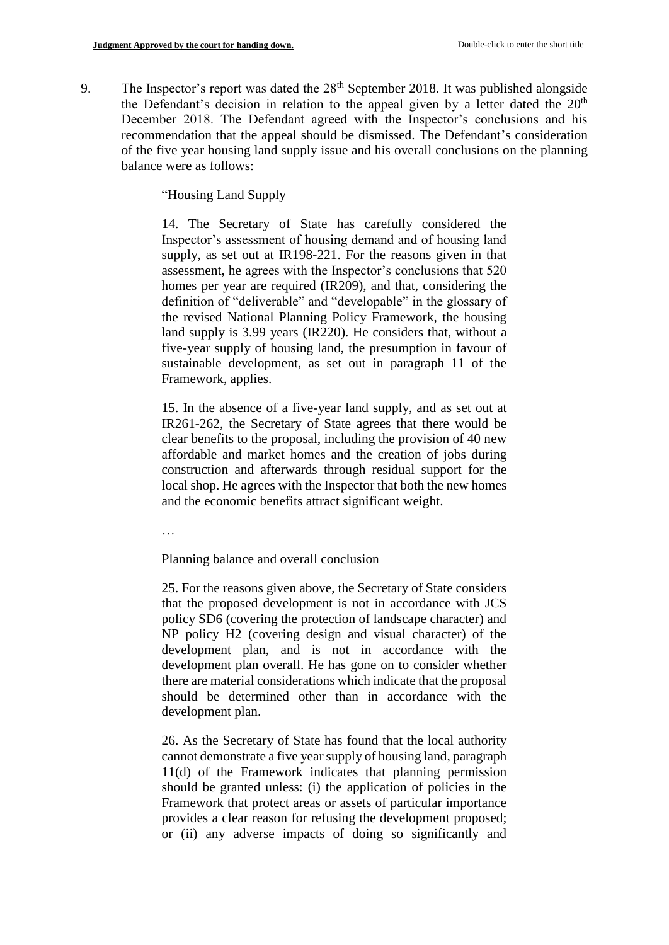9. The Inspector's report was dated the  $28<sup>th</sup>$  September 2018. It was published alongside the Defendant's decision in relation to the appeal given by a letter dated the  $20<sup>th</sup>$ December 2018. The Defendant agreed with the Inspector's conclusions and his recommendation that the appeal should be dismissed. The Defendant's consideration of the five year housing land supply issue and his overall conclusions on the planning balance were as follows:

"Housing Land Supply

14. The Secretary of State has carefully considered the Inspector's assessment of housing demand and of housing land supply, as set out at IR198-221. For the reasons given in that assessment, he agrees with the Inspector's conclusions that 520 homes per year are required (IR209), and that, considering the definition of "deliverable" and "developable" in the glossary of the revised National Planning Policy Framework, the housing land supply is 3.99 years (IR220). He considers that, without a five-year supply of housing land, the presumption in favour of sustainable development, as set out in paragraph 11 of the Framework, applies.

15. In the absence of a five-year land supply, and as set out at IR261-262, the Secretary of State agrees that there would be clear benefits to the proposal, including the provision of 40 new affordable and market homes and the creation of jobs during construction and afterwards through residual support for the local shop. He agrees with the Inspector that both the new homes and the economic benefits attract significant weight.

…

Planning balance and overall conclusion

25. For the reasons given above, the Secretary of State considers that the proposed development is not in accordance with JCS policy SD6 (covering the protection of landscape character) and NP policy H2 (covering design and visual character) of the development plan, and is not in accordance with the development plan overall. He has gone on to consider whether there are material considerations which indicate that the proposal should be determined other than in accordance with the development plan.

26. As the Secretary of State has found that the local authority cannot demonstrate a five year supply of housing land, paragraph 11(d) of the Framework indicates that planning permission should be granted unless: (i) the application of policies in the Framework that protect areas or assets of particular importance provides a clear reason for refusing the development proposed; or (ii) any adverse impacts of doing so significantly and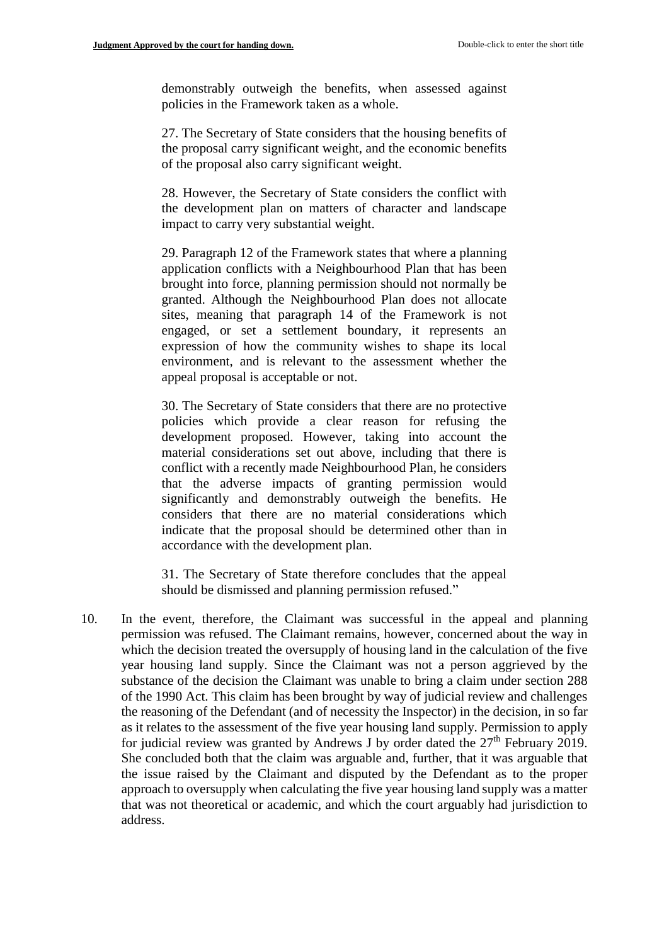demonstrably outweigh the benefits, when assessed against policies in the Framework taken as a whole.

27. The Secretary of State considers that the housing benefits of the proposal carry significant weight, and the economic benefits of the proposal also carry significant weight.

28. However, the Secretary of State considers the conflict with the development plan on matters of character and landscape impact to carry very substantial weight.

29. Paragraph 12 of the Framework states that where a planning application conflicts with a Neighbourhood Plan that has been brought into force, planning permission should not normally be granted. Although the Neighbourhood Plan does not allocate sites, meaning that paragraph 14 of the Framework is not engaged, or set a settlement boundary, it represents an expression of how the community wishes to shape its local environment, and is relevant to the assessment whether the appeal proposal is acceptable or not.

30. The Secretary of State considers that there are no protective policies which provide a clear reason for refusing the development proposed. However, taking into account the material considerations set out above, including that there is conflict with a recently made Neighbourhood Plan, he considers that the adverse impacts of granting permission would significantly and demonstrably outweigh the benefits. He considers that there are no material considerations which indicate that the proposal should be determined other than in accordance with the development plan.

31. The Secretary of State therefore concludes that the appeal should be dismissed and planning permission refused."

10. In the event, therefore, the Claimant was successful in the appeal and planning permission was refused. The Claimant remains, however, concerned about the way in which the decision treated the oversupply of housing land in the calculation of the five year housing land supply. Since the Claimant was not a person aggrieved by the substance of the decision the Claimant was unable to bring a claim under section 288 of the 1990 Act. This claim has been brought by way of judicial review and challenges the reasoning of the Defendant (and of necessity the Inspector) in the decision, in so far as it relates to the assessment of the five year housing land supply. Permission to apply for judicial review was granted by Andrews J by order dated the  $27<sup>th</sup>$  February 2019. She concluded both that the claim was arguable and, further, that it was arguable that the issue raised by the Claimant and disputed by the Defendant as to the proper approach to oversupply when calculating the five year housing land supply was a matter that was not theoretical or academic, and which the court arguably had jurisdiction to address.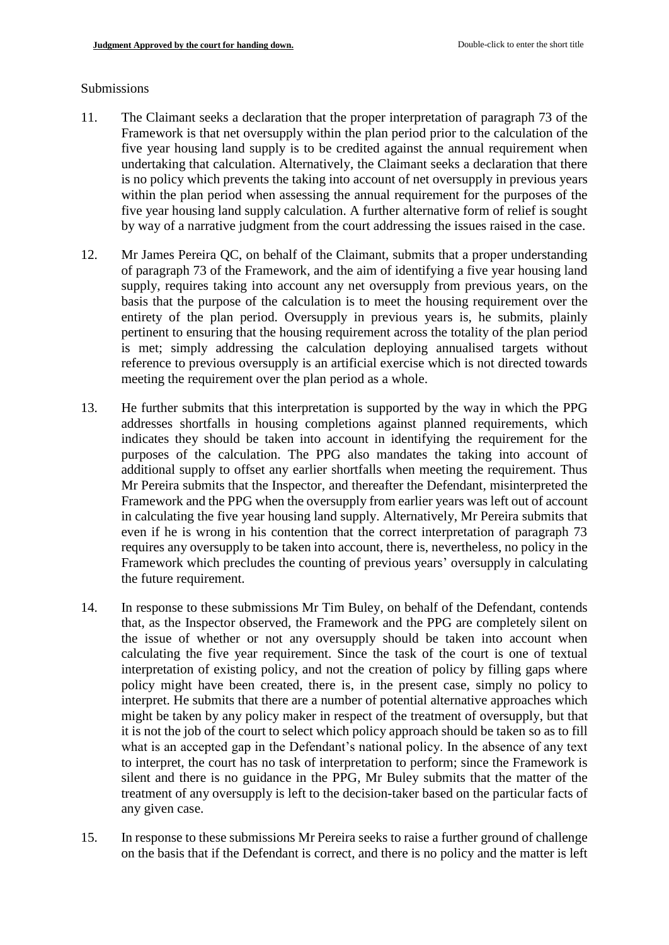#### Submissions

- 11. The Claimant seeks a declaration that the proper interpretation of paragraph 73 of the Framework is that net oversupply within the plan period prior to the calculation of the five year housing land supply is to be credited against the annual requirement when undertaking that calculation. Alternatively, the Claimant seeks a declaration that there is no policy which prevents the taking into account of net oversupply in previous years within the plan period when assessing the annual requirement for the purposes of the five year housing land supply calculation. A further alternative form of relief is sought by way of a narrative judgment from the court addressing the issues raised in the case.
- 12. Mr James Pereira QC, on behalf of the Claimant, submits that a proper understanding of paragraph 73 of the Framework, and the aim of identifying a five year housing land supply, requires taking into account any net oversupply from previous years, on the basis that the purpose of the calculation is to meet the housing requirement over the entirety of the plan period. Oversupply in previous years is, he submits, plainly pertinent to ensuring that the housing requirement across the totality of the plan period is met; simply addressing the calculation deploying annualised targets without reference to previous oversupply is an artificial exercise which is not directed towards meeting the requirement over the plan period as a whole.
- 13. He further submits that this interpretation is supported by the way in which the PPG addresses shortfalls in housing completions against planned requirements, which indicates they should be taken into account in identifying the requirement for the purposes of the calculation. The PPG also mandates the taking into account of additional supply to offset any earlier shortfalls when meeting the requirement. Thus Mr Pereira submits that the Inspector, and thereafter the Defendant, misinterpreted the Framework and the PPG when the oversupply from earlier years was left out of account in calculating the five year housing land supply. Alternatively, Mr Pereira submits that even if he is wrong in his contention that the correct interpretation of paragraph 73 requires any oversupply to be taken into account, there is, nevertheless, no policy in the Framework which precludes the counting of previous years' oversupply in calculating the future requirement.
- 14. In response to these submissions Mr Tim Buley, on behalf of the Defendant, contends that, as the Inspector observed, the Framework and the PPG are completely silent on the issue of whether or not any oversupply should be taken into account when calculating the five year requirement. Since the task of the court is one of textual interpretation of existing policy, and not the creation of policy by filling gaps where policy might have been created, there is, in the present case, simply no policy to interpret. He submits that there are a number of potential alternative approaches which might be taken by any policy maker in respect of the treatment of oversupply, but that it is not the job of the court to select which policy approach should be taken so as to fill what is an accepted gap in the Defendant's national policy. In the absence of any text to interpret, the court has no task of interpretation to perform; since the Framework is silent and there is no guidance in the PPG, Mr Buley submits that the matter of the treatment of any oversupply is left to the decision-taker based on the particular facts of any given case.
- 15. In response to these submissions Mr Pereira seeks to raise a further ground of challenge on the basis that if the Defendant is correct, and there is no policy and the matter is left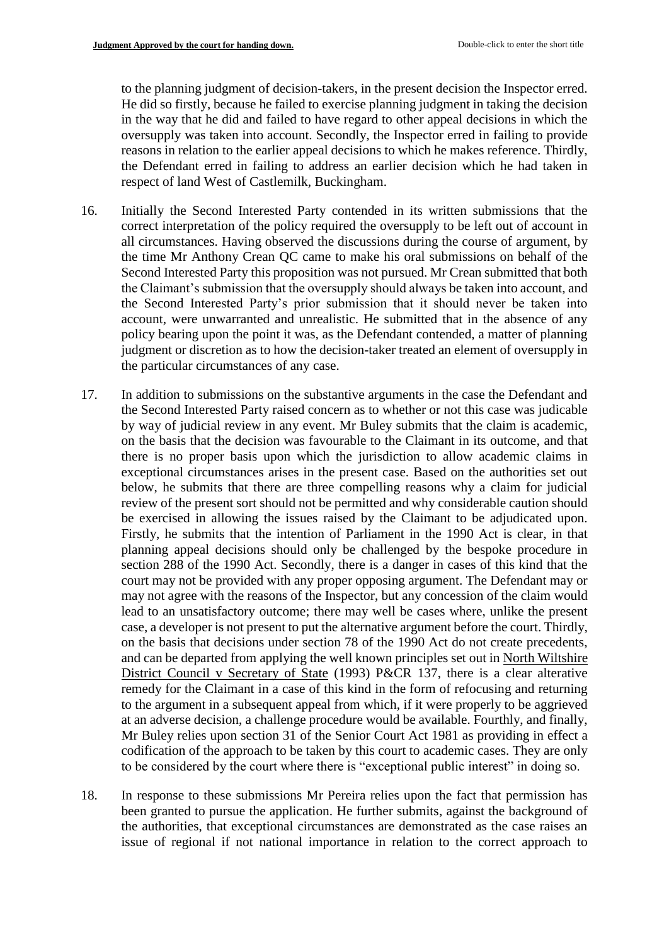to the planning judgment of decision-takers, in the present decision the Inspector erred. He did so firstly, because he failed to exercise planning judgment in taking the decision in the way that he did and failed to have regard to other appeal decisions in which the oversupply was taken into account. Secondly, the Inspector erred in failing to provide reasons in relation to the earlier appeal decisions to which he makes reference. Thirdly, the Defendant erred in failing to address an earlier decision which he had taken in respect of land West of Castlemilk, Buckingham.

- 16. Initially the Second Interested Party contended in its written submissions that the correct interpretation of the policy required the oversupply to be left out of account in all circumstances. Having observed the discussions during the course of argument, by the time Mr Anthony Crean QC came to make his oral submissions on behalf of the Second Interested Party this proposition was not pursued. Mr Crean submitted that both the Claimant's submission that the oversupply should always be taken into account, and the Second Interested Party's prior submission that it should never be taken into account, were unwarranted and unrealistic. He submitted that in the absence of any policy bearing upon the point it was, as the Defendant contended, a matter of planning judgment or discretion as to how the decision-taker treated an element of oversupply in the particular circumstances of any case.
- 17. In addition to submissions on the substantive arguments in the case the Defendant and the Second Interested Party raised concern as to whether or not this case was judicable by way of judicial review in any event. Mr Buley submits that the claim is academic, on the basis that the decision was favourable to the Claimant in its outcome, and that there is no proper basis upon which the jurisdiction to allow academic claims in exceptional circumstances arises in the present case. Based on the authorities set out below, he submits that there are three compelling reasons why a claim for judicial review of the present sort should not be permitted and why considerable caution should be exercised in allowing the issues raised by the Claimant to be adjudicated upon. Firstly, he submits that the intention of Parliament in the 1990 Act is clear, in that planning appeal decisions should only be challenged by the bespoke procedure in section 288 of the 1990 Act. Secondly, there is a danger in cases of this kind that the court may not be provided with any proper opposing argument. The Defendant may or may not agree with the reasons of the Inspector, but any concession of the claim would lead to an unsatisfactory outcome; there may well be cases where, unlike the present case, a developer is not present to put the alternative argument before the court. Thirdly, on the basis that decisions under section 78 of the 1990 Act do not create precedents, and can be departed from applying the well known principles set out in North Wiltshire District Council v Secretary of State (1993) P&CR 137, there is a clear alterative remedy for the Claimant in a case of this kind in the form of refocusing and returning to the argument in a subsequent appeal from which, if it were properly to be aggrieved at an adverse decision, a challenge procedure would be available. Fourthly, and finally, Mr Buley relies upon section 31 of the Senior Court Act 1981 as providing in effect a codification of the approach to be taken by this court to academic cases. They are only to be considered by the court where there is "exceptional public interest" in doing so.
- 18. In response to these submissions Mr Pereira relies upon the fact that permission has been granted to pursue the application. He further submits, against the background of the authorities, that exceptional circumstances are demonstrated as the case raises an issue of regional if not national importance in relation to the correct approach to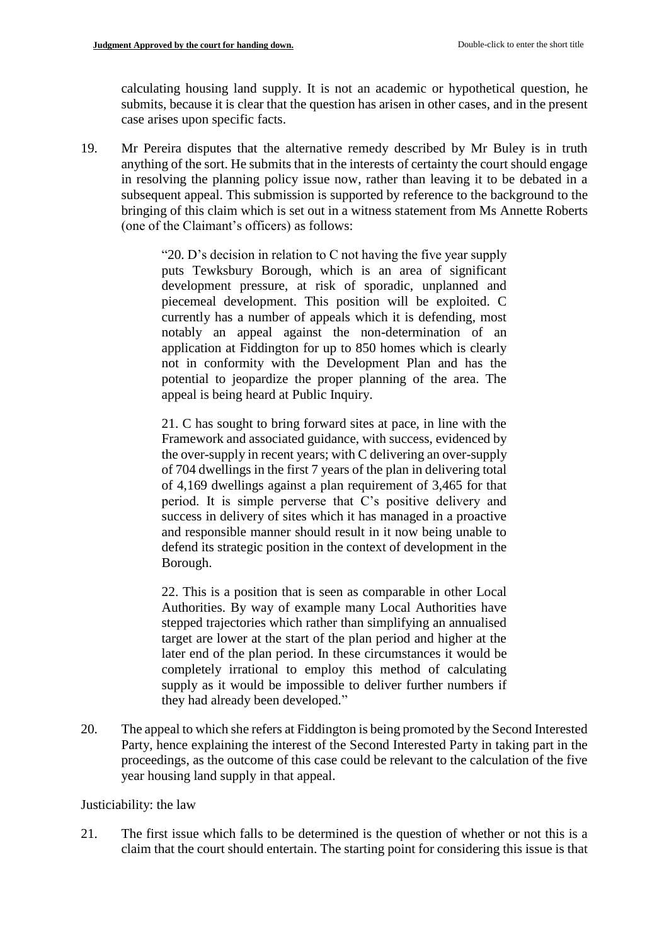calculating housing land supply. It is not an academic or hypothetical question, he submits, because it is clear that the question has arisen in other cases, and in the present case arises upon specific facts.

19. Mr Pereira disputes that the alternative remedy described by Mr Buley is in truth anything of the sort. He submits that in the interests of certainty the court should engage in resolving the planning policy issue now, rather than leaving it to be debated in a subsequent appeal. This submission is supported by reference to the background to the bringing of this claim which is set out in a witness statement from Ms Annette Roberts (one of the Claimant's officers) as follows:

> "20. D's decision in relation to C not having the five year supply puts Tewksbury Borough, which is an area of significant development pressure, at risk of sporadic, unplanned and piecemeal development. This position will be exploited. C currently has a number of appeals which it is defending, most notably an appeal against the non-determination of an application at Fiddington for up to 850 homes which is clearly not in conformity with the Development Plan and has the potential to jeopardize the proper planning of the area. The appeal is being heard at Public Inquiry.

> 21. C has sought to bring forward sites at pace, in line with the Framework and associated guidance, with success, evidenced by the over-supply in recent years; with C delivering an over-supply of 704 dwellings in the first 7 years of the plan in delivering total of 4,169 dwellings against a plan requirement of 3,465 for that period. It is simple perverse that C's positive delivery and success in delivery of sites which it has managed in a proactive and responsible manner should result in it now being unable to defend its strategic position in the context of development in the Borough.

> 22. This is a position that is seen as comparable in other Local Authorities. By way of example many Local Authorities have stepped trajectories which rather than simplifying an annualised target are lower at the start of the plan period and higher at the later end of the plan period. In these circumstances it would be completely irrational to employ this method of calculating supply as it would be impossible to deliver further numbers if they had already been developed."

20. The appeal to which she refers at Fiddington is being promoted by the Second Interested Party, hence explaining the interest of the Second Interested Party in taking part in the proceedings, as the outcome of this case could be relevant to the calculation of the five year housing land supply in that appeal.

Justiciability: the law

21. The first issue which falls to be determined is the question of whether or not this is a claim that the court should entertain. The starting point for considering this issue is that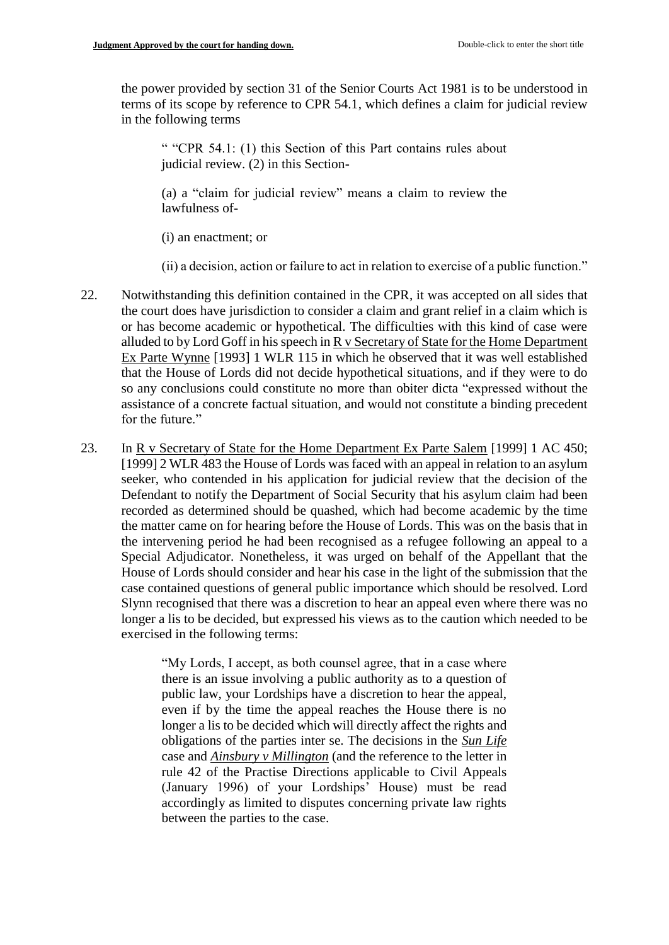the power provided by section 31 of the Senior Courts Act 1981 is to be understood in terms of its scope by reference to CPR 54.1, which defines a claim for judicial review in the following terms

" "CPR 54.1: (1) this Section of this Part contains rules about judicial review. (2) in this Section-

(a) a "claim for judicial review" means a claim to review the lawfulness of-

(i) an enactment; or

(ii) a decision, action or failure to act in relation to exercise of a public function."

- 22. Notwithstanding this definition contained in the CPR, it was accepted on all sides that the court does have jurisdiction to consider a claim and grant relief in a claim which is or has become academic or hypothetical. The difficulties with this kind of case were alluded to by Lord Goff in his speech in R v Secretary of State for the Home Department Ex Parte Wynne [1993] 1 WLR 115 in which he observed that it was well established that the House of Lords did not decide hypothetical situations, and if they were to do so any conclusions could constitute no more than obiter dicta "expressed without the assistance of a concrete factual situation, and would not constitute a binding precedent for the future."
- 23. In R v Secretary of State for the Home Department Ex Parte Salem [1999] 1 AC 450; [1999] 2 WLR 483 the House of Lords was faced with an appeal in relation to an asylum seeker, who contended in his application for judicial review that the decision of the Defendant to notify the Department of Social Security that his asylum claim had been recorded as determined should be quashed, which had become academic by the time the matter came on for hearing before the House of Lords. This was on the basis that in the intervening period he had been recognised as a refugee following an appeal to a Special Adjudicator. Nonetheless, it was urged on behalf of the Appellant that the House of Lords should consider and hear his case in the light of the submission that the case contained questions of general public importance which should be resolved. Lord Slynn recognised that there was a discretion to hear an appeal even where there was no longer a lis to be decided, but expressed his views as to the caution which needed to be exercised in the following terms:

"My Lords, I accept, as both counsel agree, that in a case where there is an issue involving a public authority as to a question of public law, your Lordships have a discretion to hear the appeal, even if by the time the appeal reaches the House there is no longer a lis to be decided which will directly affect the rights and obligations of the parties inter se. The decisions in the *Sun Life* case and *Ainsbury v Millington* (and the reference to the letter in rule 42 of the Practise Directions applicable to Civil Appeals (January 1996) of your Lordships' House) must be read accordingly as limited to disputes concerning private law rights between the parties to the case.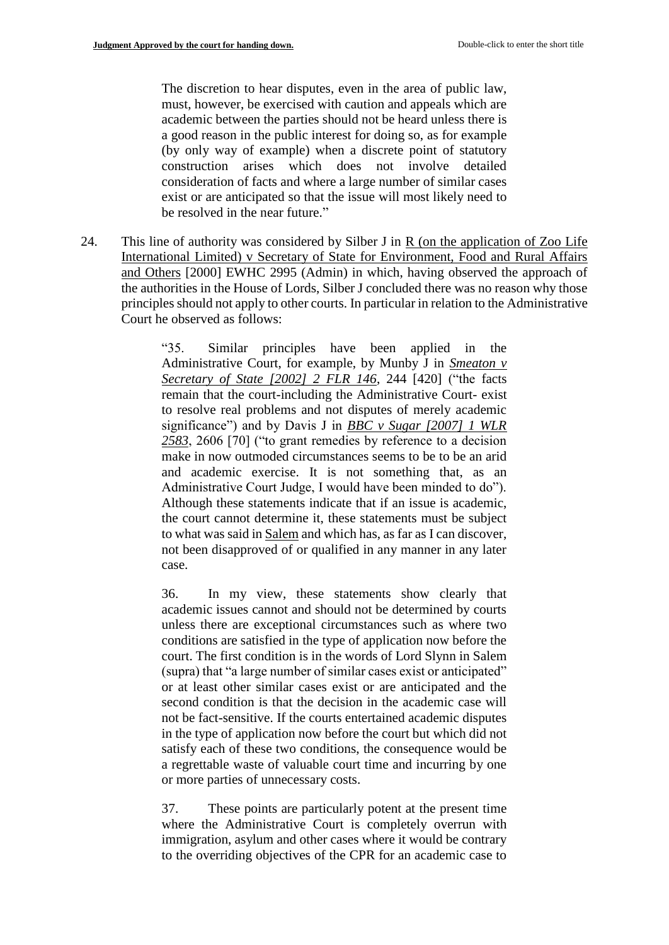The discretion to hear disputes, even in the area of public law, must, however, be exercised with caution and appeals which are academic between the parties should not be heard unless there is a good reason in the public interest for doing so, as for example (by only way of example) when a discrete point of statutory construction arises which does not involve detailed consideration of facts and where a large number of similar cases exist or are anticipated so that the issue will most likely need to be resolved in the near future."

24. This line of authority was considered by Silber J in R (on the application of Zoo Life International Limited) v Secretary of State for Environment, Food and Rural Affairs and Others [2000] EWHC 2995 (Admin) in which, having observed the approach of the authorities in the House of Lords, Silber J concluded there was no reason why those principles should not apply to other courts. In particular in relation to the Administrative Court he observed as follows:

> "35. Similar principles have been applied in the Administrative Court, for example, by Munby J in *Smeaton v Secretary of State [2002] 2 FLR 146*, 244 [420] ("the facts remain that the court-including the Administrative Court- exist to resolve real problems and not disputes of merely academic significance") and by Davis J in *BBC v Sugar [2007] 1 WLR 2583*, 2606 [70] ("to grant remedies by reference to a decision make in now outmoded circumstances seems to be to be an arid and academic exercise. It is not something that, as an Administrative Court Judge, I would have been minded to do"). Although these statements indicate that if an issue is academic, the court cannot determine it, these statements must be subject to what was said in Salem and which has, as far as I can discover, not been disapproved of or qualified in any manner in any later case.

> 36. In my view, these statements show clearly that academic issues cannot and should not be determined by courts unless there are exceptional circumstances such as where two conditions are satisfied in the type of application now before the court. The first condition is in the words of Lord Slynn in Salem (supra) that "a large number of similar cases exist or anticipated" or at least other similar cases exist or are anticipated and the second condition is that the decision in the academic case will not be fact-sensitive. If the courts entertained academic disputes in the type of application now before the court but which did not satisfy each of these two conditions, the consequence would be a regrettable waste of valuable court time and incurring by one or more parties of unnecessary costs.

> 37. These points are particularly potent at the present time where the Administrative Court is completely overrun with immigration, asylum and other cases where it would be contrary to the overriding objectives of the CPR for an academic case to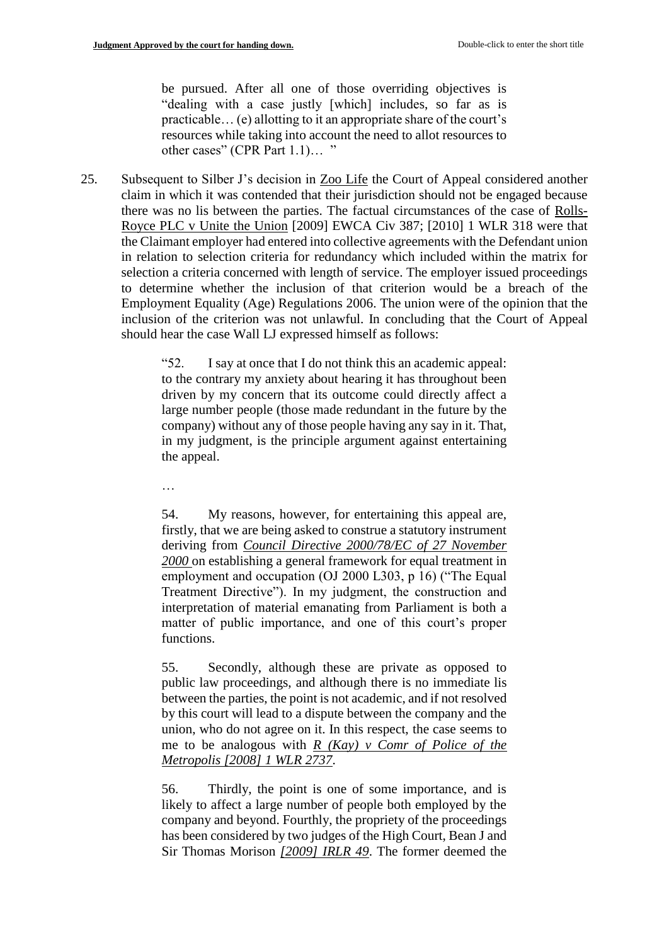be pursued. After all one of those overriding objectives is "dealing with a case justly [which] includes, so far as is practicable… (e) allotting to it an appropriate share of the court's resources while taking into account the need to allot resources to other cases" (CPR Part 1.1)… "

25. Subsequent to Silber J's decision in Zoo Life the Court of Appeal considered another claim in which it was contended that their jurisdiction should not be engaged because there was no lis between the parties. The factual circumstances of the case of Rolls-Royce PLC v Unite the Union [2009] EWCA Civ 387; [2010] 1 WLR 318 were that the Claimant employer had entered into collective agreements with the Defendant union in relation to selection criteria for redundancy which included within the matrix for selection a criteria concerned with length of service. The employer issued proceedings to determine whether the inclusion of that criterion would be a breach of the Employment Equality (Age) Regulations 2006. The union were of the opinion that the inclusion of the criterion was not unlawful. In concluding that the Court of Appeal should hear the case Wall LJ expressed himself as follows:

> "52. I say at once that I do not think this an academic appeal: to the contrary my anxiety about hearing it has throughout been driven by my concern that its outcome could directly affect a large number people (those made redundant in the future by the company) without any of those people having any say in it. That, in my judgment, is the principle argument against entertaining the appeal.

…

54. My reasons, however, for entertaining this appeal are, firstly, that we are being asked to construe a statutory instrument deriving from *Council Directive 2000/78/EC of 27 November 2000* on establishing a general framework for equal treatment in employment and occupation (OJ 2000 L303, p 16) ("The Equal Treatment Directive"). In my judgment, the construction and interpretation of material emanating from Parliament is both a matter of public importance, and one of this court's proper functions.

55. Secondly, although these are private as opposed to public law proceedings, and although there is no immediate lis between the parties, the point is not academic, and if not resolved by this court will lead to a dispute between the company and the union, who do not agree on it. In this respect, the case seems to me to be analogous with *R (Kay) v Comr of Police of the Metropolis [2008] 1 WLR 2737*.

56. Thirdly, the point is one of some importance, and is likely to affect a large number of people both employed by the company and beyond. Fourthly, the propriety of the proceedings has been considered by two judges of the High Court, Bean J and Sir Thomas Morison *[2009] IRLR 49*. The former deemed the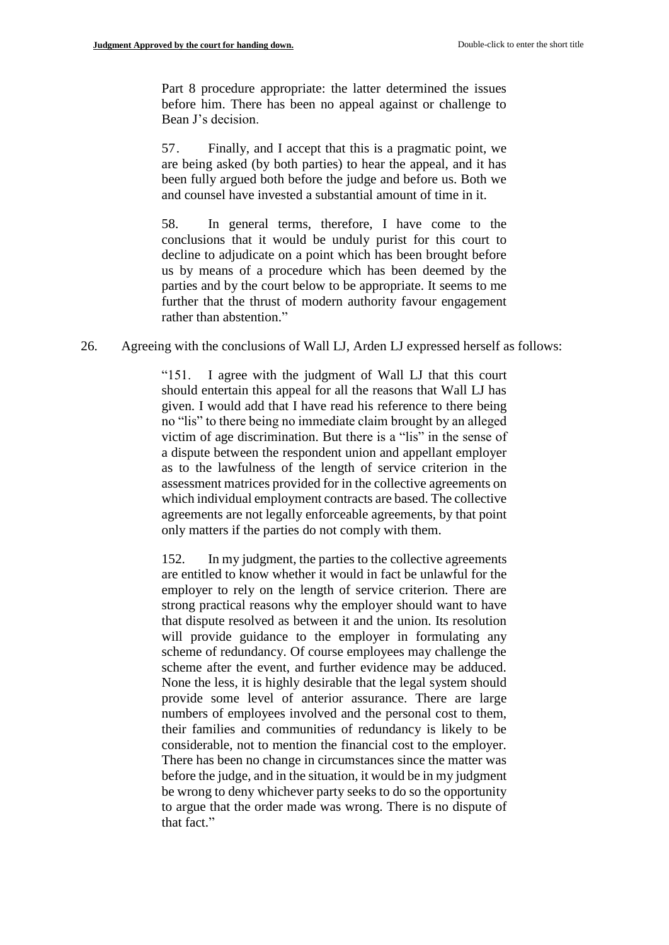Part 8 procedure appropriate: the latter determined the issues before him. There has been no appeal against or challenge to Bean J's decision.

57. Finally, and I accept that this is a pragmatic point, we are being asked (by both parties) to hear the appeal, and it has been fully argued both before the judge and before us. Both we and counsel have invested a substantial amount of time in it.

58. In general terms, therefore, I have come to the conclusions that it would be unduly purist for this court to decline to adjudicate on a point which has been brought before us by means of a procedure which has been deemed by the parties and by the court below to be appropriate. It seems to me further that the thrust of modern authority favour engagement rather than abstention."

26. Agreeing with the conclusions of Wall LJ, Arden LJ expressed herself as follows:

"151. I agree with the judgment of Wall LJ that this court should entertain this appeal for all the reasons that Wall LJ has given. I would add that I have read his reference to there being no "lis" to there being no immediate claim brought by an alleged victim of age discrimination. But there is a "lis" in the sense of a dispute between the respondent union and appellant employer as to the lawfulness of the length of service criterion in the assessment matrices provided for in the collective agreements on which individual employment contracts are based. The collective agreements are not legally enforceable agreements, by that point only matters if the parties do not comply with them.

152. In my judgment, the parties to the collective agreements are entitled to know whether it would in fact be unlawful for the employer to rely on the length of service criterion. There are strong practical reasons why the employer should want to have that dispute resolved as between it and the union. Its resolution will provide guidance to the employer in formulating any scheme of redundancy. Of course employees may challenge the scheme after the event, and further evidence may be adduced. None the less, it is highly desirable that the legal system should provide some level of anterior assurance. There are large numbers of employees involved and the personal cost to them, their families and communities of redundancy is likely to be considerable, not to mention the financial cost to the employer. There has been no change in circumstances since the matter was before the judge, and in the situation, it would be in my judgment be wrong to deny whichever party seeks to do so the opportunity to argue that the order made was wrong. There is no dispute of that fact."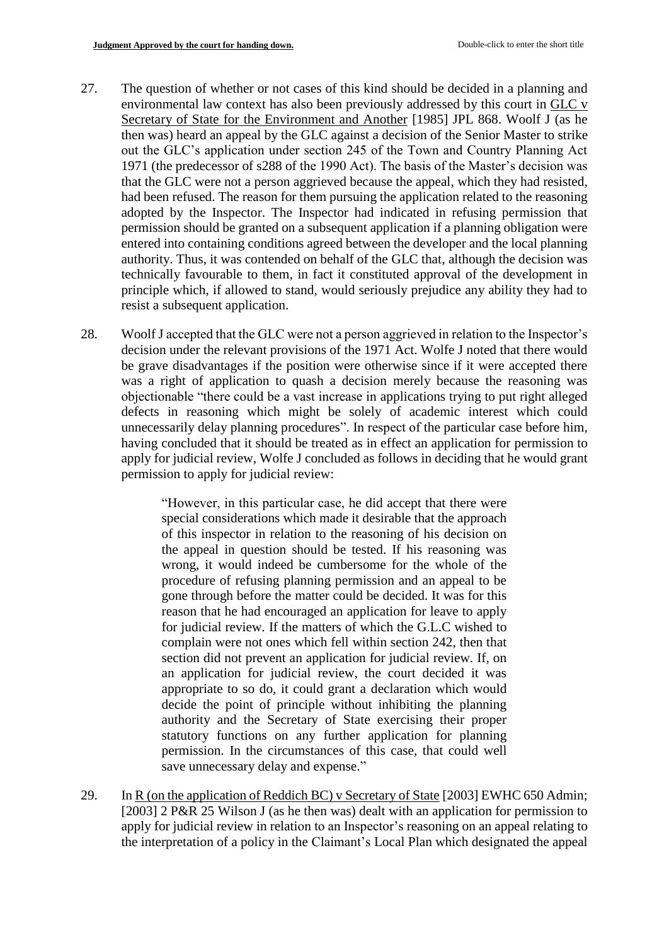- 27. The question of whether or not cases of this kind should be decided in a planning and environmental law context has also been previously addressed by this court in GLC v Secretary of State for the Environment and Another [1985] JPL 868. Woolf J (as he then was) heard an appeal by the GLC against a decision of the Senior Master to strike out the GLC's application under section 245 of the Town and Country Planning Act 1971 (the predecessor of s288 of the 1990 Act). The basis of the Master's decision was that the GLC were not a person aggrieved because the appeal, which they had resisted, had been refused. The reason for them pursuing the application related to the reasoning adopted by the Inspector. The Inspector had indicated in refusing permission that permission should be granted on a subsequent application if a planning obligation were entered into containing conditions agreed between the developer and the local planning authority. Thus, it was contended on behalf of the GLC that, although the decision was technically favourable to them, in fact it constituted approval of the development in principle which, if allowed to stand, would seriously prejudice any ability they had to resist a subsequent application.
- 28. WoolfJ accepted that the GLC were not a person aggrieved in relation to the Inspector's decision under the relevant provisions of the 1971 Act. Wolfe J noted that there would be grave disadvantages if the position were otherwise since if it were accepted there was a right of application to quash a decision merely because the reasoning was objectionable "there could be a vast increase in applications trying to put right alleged defects in reasoning which might be solely of academic interest which could unnecessarily delay planning procedures". In respect of the particular case before him, having concluded that it should be treated as in effect an application for permission to apply for judicial review, Wolfe J concluded as follows in deciding that he would grant permission to apply for judicial review:

"However, in this particular case, he did accept that there were special considerations which made it desirable that the approach of this inspector in relation to the reasoning of his decision on the appeal in question should be tested. If his reasoning was wrong, it would indeed be cumbersome for the whole of the procedure of refusing planning permission and an appeal to be gone through before the matter could be decided. It was for this reason that he had encouraged an application for leave to apply for judicial review. If the matters of which the G.L.C wished to complain were not ones which fell within section 242, then that section did not prevent an application for judicial review. If, on an application for judicial review, the court decided it was appropriate to so do, it could grant a declaration which would decide the point of principle without inhibiting the planning authority and the Secretary of State exercising their proper statutory functions on any further application for planning permission. In the circumstances of this case, that could well save unnecessary delay and expense."

29. In R (on the application of Reddich BC) v Secretary of State [2003] EWHC 650 Admin; [2003] 2 P&R 25 Wilson J (as he then was) dealt with an application for permission to apply for judicial review in relation to an Inspector's reasoning on an appeal relating to the interpretation of a policy in the Claimant's Local Plan which designated the appeal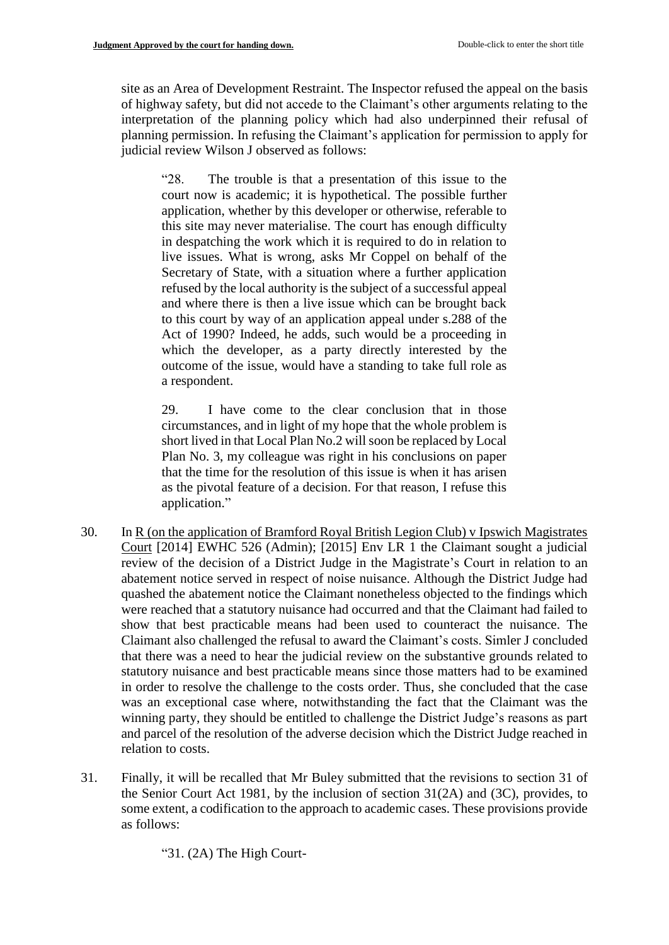site as an Area of Development Restraint. The Inspector refused the appeal on the basis of highway safety, but did not accede to the Claimant's other arguments relating to the interpretation of the planning policy which had also underpinned their refusal of planning permission. In refusing the Claimant's application for permission to apply for judicial review Wilson J observed as follows:

"28. The trouble is that a presentation of this issue to the court now is academic; it is hypothetical. The possible further application, whether by this developer or otherwise, referable to this site may never materialise. The court has enough difficulty in despatching the work which it is required to do in relation to live issues. What is wrong, asks Mr Coppel on behalf of the Secretary of State, with a situation where a further application refused by the local authority is the subject of a successful appeal and where there is then a live issue which can be brought back to this court by way of an application appeal under s.288 of the Act of 1990? Indeed, he adds, such would be a proceeding in which the developer, as a party directly interested by the outcome of the issue, would have a standing to take full role as a respondent.

29. I have come to the clear conclusion that in those circumstances, and in light of my hope that the whole problem is short lived in that Local Plan No.2 will soon be replaced by Local Plan No. 3, my colleague was right in his conclusions on paper that the time for the resolution of this issue is when it has arisen as the pivotal feature of a decision. For that reason, I refuse this application."

- 30. In R (on the application of Bramford Royal British Legion Club) v Ipswich Magistrates Court [2014] EWHC 526 (Admin); [2015] Env LR 1 the Claimant sought a judicial review of the decision of a District Judge in the Magistrate's Court in relation to an abatement notice served in respect of noise nuisance. Although the District Judge had quashed the abatement notice the Claimant nonetheless objected to the findings which were reached that a statutory nuisance had occurred and that the Claimant had failed to show that best practicable means had been used to counteract the nuisance. The Claimant also challenged the refusal to award the Claimant's costs. Simler J concluded that there was a need to hear the judicial review on the substantive grounds related to statutory nuisance and best practicable means since those matters had to be examined in order to resolve the challenge to the costs order. Thus, she concluded that the case was an exceptional case where, notwithstanding the fact that the Claimant was the winning party, they should be entitled to challenge the District Judge's reasons as part and parcel of the resolution of the adverse decision which the District Judge reached in relation to costs.
- 31. Finally, it will be recalled that Mr Buley submitted that the revisions to section 31 of the Senior Court Act 1981, by the inclusion of section 31(2A) and (3C), provides, to some extent, a codification to the approach to academic cases. These provisions provide as follows:

"31. (2A) The High Court-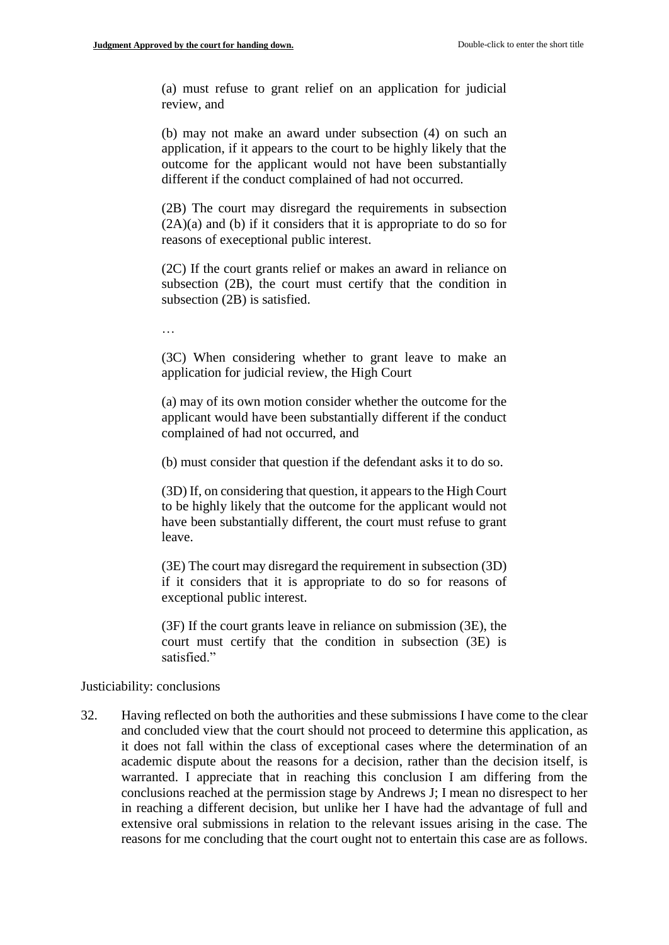(a) must refuse to grant relief on an application for judicial review, and

(b) may not make an award under subsection (4) on such an application, if it appears to the court to be highly likely that the outcome for the applicant would not have been substantially different if the conduct complained of had not occurred.

(2B) The court may disregard the requirements in subsection (2A)(a) and (b) if it considers that it is appropriate to do so for reasons of execeptional public interest.

(2C) If the court grants relief or makes an award in reliance on subsection (2B), the court must certify that the condition in subsection (2B) is satisfied.

…

(3C) When considering whether to grant leave to make an application for judicial review, the High Court

(a) may of its own motion consider whether the outcome for the applicant would have been substantially different if the conduct complained of had not occurred, and

(b) must consider that question if the defendant asks it to do so.

(3D) If, on considering that question, it appears to the High Court to be highly likely that the outcome for the applicant would not have been substantially different, the court must refuse to grant leave.

(3E) The court may disregard the requirement in subsection (3D) if it considers that it is appropriate to do so for reasons of exceptional public interest.

(3F) If the court grants leave in reliance on submission (3E), the court must certify that the condition in subsection (3E) is satisfied."

Justiciability: conclusions

32. Having reflected on both the authorities and these submissions I have come to the clear and concluded view that the court should not proceed to determine this application, as it does not fall within the class of exceptional cases where the determination of an academic dispute about the reasons for a decision, rather than the decision itself, is warranted. I appreciate that in reaching this conclusion I am differing from the conclusions reached at the permission stage by Andrews J; I mean no disrespect to her in reaching a different decision, but unlike her I have had the advantage of full and extensive oral submissions in relation to the relevant issues arising in the case. The reasons for me concluding that the court ought not to entertain this case are as follows.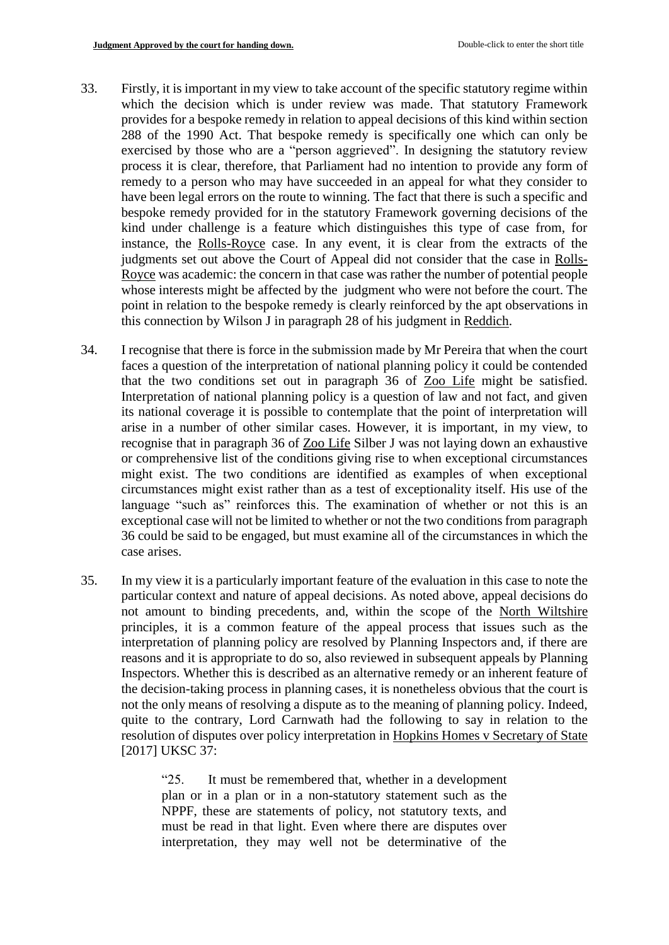- 33. Firstly, it is important in my view to take account of the specific statutory regime within which the decision which is under review was made. That statutory Framework provides for a bespoke remedy in relation to appeal decisions of this kind within section 288 of the 1990 Act. That bespoke remedy is specifically one which can only be exercised by those who are a "person aggrieved". In designing the statutory review process it is clear, therefore, that Parliament had no intention to provide any form of remedy to a person who may have succeeded in an appeal for what they consider to have been legal errors on the route to winning. The fact that there is such a specific and bespoke remedy provided for in the statutory Framework governing decisions of the kind under challenge is a feature which distinguishes this type of case from, for instance, the Rolls-Royce case. In any event, it is clear from the extracts of the judgments set out above the Court of Appeal did not consider that the case in Rolls-Royce was academic: the concern in that case was rather the number of potential people whose interests might be affected by the judgment who were not before the court. The point in relation to the bespoke remedy is clearly reinforced by the apt observations in this connection by Wilson J in paragraph 28 of his judgment in Reddich.
- 34. I recognise that there is force in the submission made by Mr Pereira that when the court faces a question of the interpretation of national planning policy it could be contended that the two conditions set out in paragraph 36 of Zoo Life might be satisfied. Interpretation of national planning policy is a question of law and not fact, and given its national coverage it is possible to contemplate that the point of interpretation will arise in a number of other similar cases. However, it is important, in my view, to recognise that in paragraph 36 of Zoo Life Silber J was not laying down an exhaustive or comprehensive list of the conditions giving rise to when exceptional circumstances might exist. The two conditions are identified as examples of when exceptional circumstances might exist rather than as a test of exceptionality itself. His use of the language "such as" reinforces this. The examination of whether or not this is an exceptional case will not be limited to whether or not the two conditions from paragraph 36 could be said to be engaged, but must examine all of the circumstances in which the case arises.
- 35. In my view it is a particularly important feature of the evaluation in this case to note the particular context and nature of appeal decisions. As noted above, appeal decisions do not amount to binding precedents, and, within the scope of the North Wiltshire principles, it is a common feature of the appeal process that issues such as the interpretation of planning policy are resolved by Planning Inspectors and, if there are reasons and it is appropriate to do so, also reviewed in subsequent appeals by Planning Inspectors. Whether this is described as an alternative remedy or an inherent feature of the decision-taking process in planning cases, it is nonetheless obvious that the court is not the only means of resolving a dispute as to the meaning of planning policy. Indeed, quite to the contrary, Lord Carnwath had the following to say in relation to the resolution of disputes over policy interpretation in Hopkins Homes v Secretary of State [2017] UKSC 37:

"25. It must be remembered that, whether in a development plan or in a plan or in a non-statutory statement such as the NPPF, these are statements of policy, not statutory texts, and must be read in that light. Even where there are disputes over interpretation, they may well not be determinative of the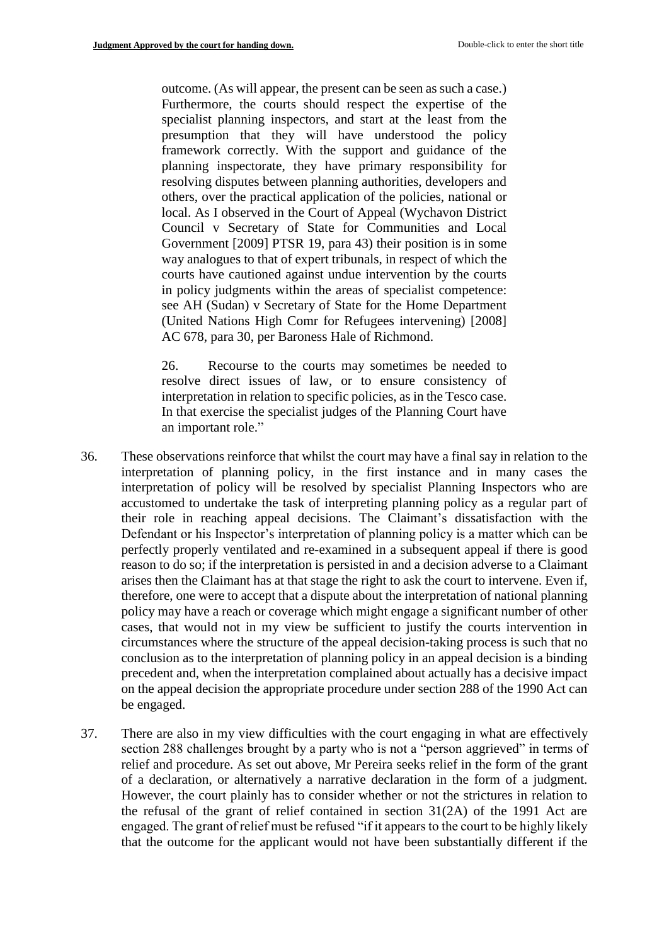outcome. (As will appear, the present can be seen as such a case.) Furthermore, the courts should respect the expertise of the specialist planning inspectors, and start at the least from the presumption that they will have understood the policy framework correctly. With the support and guidance of the planning inspectorate, they have primary responsibility for resolving disputes between planning authorities, developers and others, over the practical application of the policies, national or local. As I observed in the Court of Appeal (Wychavon District Council v Secretary of State for Communities and Local Government [2009] PTSR 19, para 43) their position is in some way analogues to that of expert tribunals, in respect of which the courts have cautioned against undue intervention by the courts in policy judgments within the areas of specialist competence: see AH (Sudan) v Secretary of State for the Home Department (United Nations High Comr for Refugees intervening) [2008] AC 678, para 30, per Baroness Hale of Richmond.

26. Recourse to the courts may sometimes be needed to resolve direct issues of law, or to ensure consistency of interpretation in relation to specific policies, as in the Tesco case. In that exercise the specialist judges of the Planning Court have an important role."

- 36. These observations reinforce that whilst the court may have a final say in relation to the interpretation of planning policy, in the first instance and in many cases the interpretation of policy will be resolved by specialist Planning Inspectors who are accustomed to undertake the task of interpreting planning policy as a regular part of their role in reaching appeal decisions. The Claimant's dissatisfaction with the Defendant or his Inspector's interpretation of planning policy is a matter which can be perfectly properly ventilated and re-examined in a subsequent appeal if there is good reason to do so; if the interpretation is persisted in and a decision adverse to a Claimant arises then the Claimant has at that stage the right to ask the court to intervene. Even if, therefore, one were to accept that a dispute about the interpretation of national planning policy may have a reach or coverage which might engage a significant number of other cases, that would not in my view be sufficient to justify the courts intervention in circumstances where the structure of the appeal decision-taking process is such that no conclusion as to the interpretation of planning policy in an appeal decision is a binding precedent and, when the interpretation complained about actually has a decisive impact on the appeal decision the appropriate procedure under section 288 of the 1990 Act can be engaged.
- 37. There are also in my view difficulties with the court engaging in what are effectively section 288 challenges brought by a party who is not a "person aggrieved" in terms of relief and procedure. As set out above, Mr Pereira seeks relief in the form of the grant of a declaration, or alternatively a narrative declaration in the form of a judgment. However, the court plainly has to consider whether or not the strictures in relation to the refusal of the grant of relief contained in section 31(2A) of the 1991 Act are engaged. The grant of relief must be refused "if it appears to the court to be highly likely that the outcome for the applicant would not have been substantially different if the